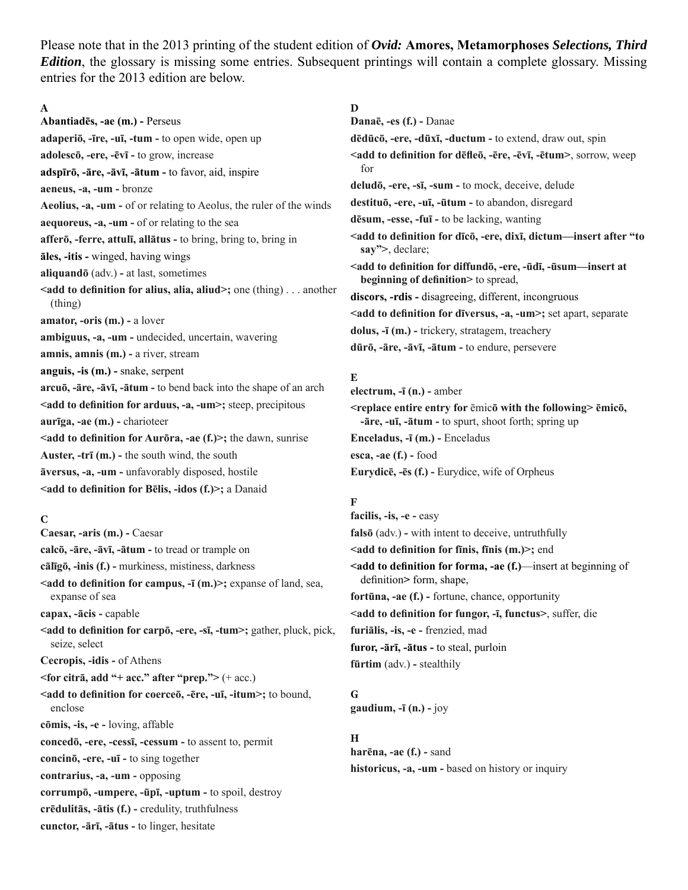Please note that in the 2013 printing of the student edition of *Ovid:* **Amores, Metamorphoses** *Selections, Third Edition*, the glossary is missing some entries. Subsequent printings will contain a complete glossary. Missing entries for the 2013 edition are below.

## **A**

**Abantiadēs, -ae (m.) -** Perseus **adaperiō, -īre, -uī, -tum -** to open wide, open up **adolescō, -ere, -ēvī -** to grow, increase **adspīrō, -āre, -āvī, -ātum -** to favor, aid, inspire **aeneus, -a, -um -** bronze **Aeolius, -a, -um -** of or relating to Aeolus, the ruler of the winds **aequoreus, -a, -um -** of or relating to the sea **afferō, -ferre, attulī, allātus -** to bring, bring to, bring in **āles, -itis -** winged, having wings **aliquandō** (adv.) **-** at last, sometimes **<add to definition for alius, alia, aliud>;** one (thing) . . . another (thing) **amator, -oris (m.) -** a lover **ambiguus, -a, -um -** undecided, uncertain, wavering **amnis, amnis (m.) - a river, stream anguis, -is (m.) -** snake, serpent **arcuō, -āre, -āvī, -ātum -** to bend back into the shape of an arch **<add to definition for arduus, -a, -um>;** steep, precipitous **aurīga, -ae (m.) -** charioteer **<add to definition for Aurōra, -ae (f.)>;** the dawn, sunrise **Auster, -trī (m.) -** the south wind, the south **āversus, -a, -um -** unfavorably disposed, hostile <add to definition for Belis, -idos (f.)>; a Danaid

## **C**

**Caesar, -aris (m.) -** Caesar **calcō, -āre, -āvī, -ātum -** to tread or trample on **cālīgō, -inis (f.) -** murkiness, mistiness, darkness **Exadd to definition for campus, -<b>ī** (m.) > ; expanse of land, sea, expanse of sea **capax, -ācis -** capable <add to definition for carp<sub> $\bar{0}$ </sub>, -ere, -s**ī**, -tum>; gather, pluck, pick, seize, select **Cecropis, -idis -** of Athens **<for citrā, add "+ acc." after "prep.">** (+ acc.) **<add to defi nition for coerceō, -ēre, -uī, -itum>;** to bound, enclose **cōmis, -is, -e -** loving, affable **concedō, -ere, -cessī, -cessum -** to assent to, permit **concinō, -ere, -uī -** to sing together **contrarius, -a, -um -** opposing **corrumpō, -umpere, -ūpī, -uptum -** to spoil, destroy **crēdulitās, -ātis (f.) -** credulity, truthfulness **cunctor, -ārī, -ātus -** to linger, hesitate

## **D**

**Danaē, -es (f.) -** Danae **dēdūcō, -ere, -dūxī, -ductum -** to extend, draw out, spin  $\le$ **add to definition for dēfleō**, -**ēre, -ēvī, -ētum**, sorrow, weep for **deludō, -ere, -sī, -sum -** to mock, deceive, delude **destituō, -ere, -uī, -ūtum -** to abandon, disregard **dēsum, -esse, -fuī -** to be lacking, wanting **<add to defi nition for dīcō, -ere, dixī, dictum—insert after "to say">**, declare; **<add to defi nition for diffundō, -ere, -ūdī, -ūsum—insert at beginning of definition** > to spread, **discors, -rdis -** disagreeing, different, incongruous <add to definition for d**īversus, -a, -um>**; set apart, separate **dolus, -ī (m.) -** trickery, stratagem, treachery **dūrō, -āre, -āvī, -ātum -** to endure, persevere

# **E**

**electrum, -ī (n.) -** amber **<replace entire entry for** ēmic**ō with the following> ēmicō, -āre, -uī, -ātum -** to spurt, shoot forth; spring up **Enceladus, -ī (m.) -** Enceladus **esca, -ae (f.) -** food

```
Eurydicē, -ēs (f.) - Eurydice, wife of Orpheus
```
## **F**

**facilis, -is, -e -** easy **falsō** (adv.) **-** with intent to deceive, untruthfully **<add to defi nition for fīnis, fīnis (m.)>;** end **<add to definition for forma, -ae (f.)—insert at beginning of** definition> form, shape, **fortūna, -ae (f.) -** fortune, chance, opportunity <add to definition for fungor, -**ī**, functus>, suffer, die **furiālis, -is, -e -** frenzied, mad **furor, -ārī, -ātus -** to steal, purloin **fūrtim** (adv.) **-** stealthily

#### **G**

**gaudium, -ī (n.) -** joy

#### **H**

**harēna, -ae (f.) -** sand **historicus, -a, -um -** based on history or inquiry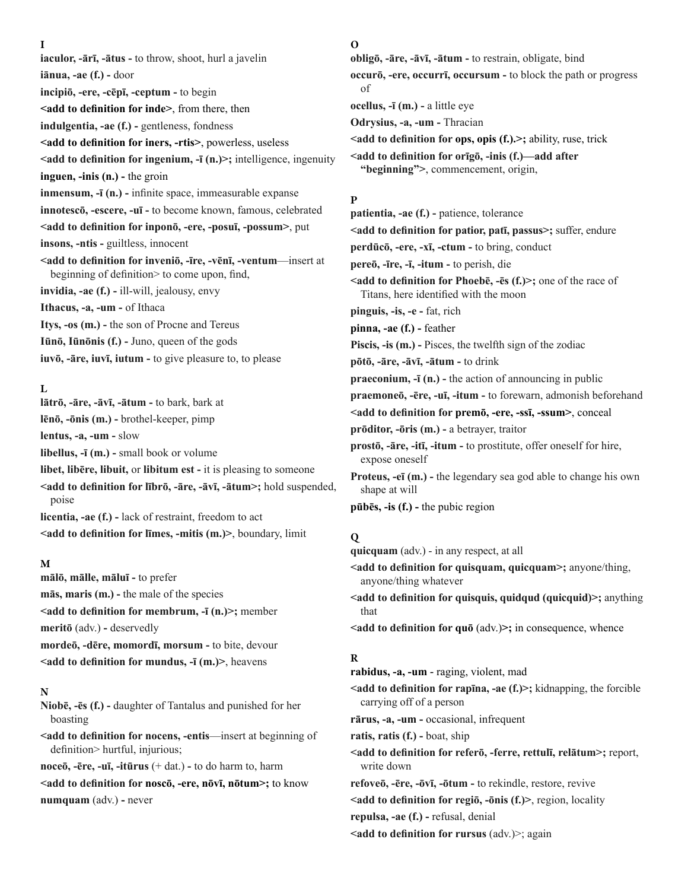**I**

**iaculor, -ārī, -ātus -** to throw, shoot, hurl a javelin **iānua, -ae (f.) -** door **incipiō, -ere, -cēpī, -ceptum -** to begin **<add to definition for inde>**, from there, then **indulgentia, -ae (f.) -** gentleness, fondness <add to definition for iners, -rtis>, powerless, useless <add to definition for ingenium, -**ī** (n.)>; intelligence, ingenuity **inguen, -inis (n.) -** the groin **inmensum, -<b>ī** (n.) - infinite space, immeasurable expanse **innotescō, -escere, -uī -** to become known, famous, celebrated **<add to defi nition for inponō, -ere, -posuī, -possum>**, put **insons, -ntis -** guiltless, innocent **<add to defi nition for inveniō, -īre, -vēnī, -ventum**—insert at beginning of definition to come upon, find, **invidia, -ae (f.) -** ill-will, jealousy, envy **Ithacus, -a, -um -** of Ithaca **Itys, -os (m.) -** the son of Procne and Tereus **Iūnō, Iūnōnis (f.) -** Juno, queen of the gods **iuvō, -āre, iuvī, iutum -** to give pleasure to, to please

## **L**

**lātrō, -āre, -āvī, -ātum -** to bark, bark at **lēnō, -ōnis (m.) -** brothel-keeper, pimp **lentus, -a, -um -** slow **libellus, -ī (m.) -** small book or volume **libet, libēre, libuit,** or **libitum est -** it is pleasing to someone **<add to defi nition for lībrō, -āre, -āvī, -ātum>;** hold suspended, poise **licentia, -ae (f.) -** lack of restraint, freedom to act **<add to definition for limes, -mitis (m.)>**, boundary, limit

#### **M**

**mālō, mālle, māluī -** to prefer **mās, maris (m.) -** the male of the species **<add to definition for membrum, -ī (n.)>; member meritō** (adv.) **-** deservedly **mordeō, -dēre, momordī, morsum -** to bite, devour **<add to definition for mundus, -<b>ī** (m.)>, heavens

### **N**

**Niobē, -ēs (f.) -** daughter of Tantalus and punished for her boasting

**<add to definition for nocens, -entis—insert at beginning of** definition> hurtful, injurious;

**noceō, -ēre, -uī, -itūrus** (+ dat.) **-** to do harm to, harm

**<add to defi nition for noscō, -ere, nōvī, nōtum>;** to know **numquam** (adv.) **-** never

#### **O**

**obligō, -āre, -āvī, -ātum -** to restrain, obligate, bind **occurō, -ere, occurrī, occursum -** to block the path or progress of **ocellus, -ī (m.) -** a little eye

**Odrysius, -a, -um -** Thracian

**<add to definition for ops, opis (f.).>;** ability, ruse, trick

**<add to defi nition for orīgō, -inis (f.)—add after "beginning">**, commencement, origin,

## **P**

**patientia, -ae (f.) -** patience, tolerance

 $\le$ add to definition for patior, pat**ī**, passus>; suffer, endure

**perdūcō, -ere, -xī, -ctum -** to bring, conduct

**pereō, -īre, -ī, -itum -** to perish, die

**<add to definition for Phoebē, -ēs (f.)>;** one of the race of Titans, here identified with the moon

**pinguis, -is, -e -** fat, rich

**pinna, -ae (f.) -** feather

Piscis, -is (m.) - Pisces, the twelfth sign of the zodiac

**pōtō, -āre, -āvī, -ātum -** to drink

**praeconium, -ī (n.) -** the action of announcing in public

**praemoneō, -ēre, -uī, -itum -** to forewarn, admonish beforehand

**<add to defi nition for premō, -ere, -ssī, -ssum>**, conceal

**prōditor, -ōris (m.) -** a betrayer, traitor

**prostō, -āre, -itī, -itum -** to prostitute, offer oneself for hire, expose oneself

**Proteus, -eī (m.) -** the legendary sea god able to change his own shape at will

**pūbēs, -is (f.) -** the pubic region

#### **Q**

**quicquam** (adv.) - in any respect, at all

<add to definition for quisquam, quicquam>; anyone/thing, anyone/thing whatever

**<add to definition for quisquis, quidqud (quicquid)>;** anything that

 $\le$ add to definition for quō (adv.) $\ge$ ; in consequence, whence

#### **R**

**rabidus, -a, -um** *-* raging, violent, mad

**<add to definition for rapina, -ae (f.)>;** kidnapping, the forcible carrying off of a person

**rārus, -a, -um -** occasional, infrequent

**ratis, ratis (f.) -** boat, ship

**<add to defi nition for referō, -ferre, rettulī, relātum>;** report, write down

**refoveō, -ēre, -ōvī, -ōtum -** to rekindle, restore, revive

**<add to definition for regio**, **-onis (f.)**>, region, locality

**repulsa, -ae (f.) -** refusal, denial

<add to definition for rursus (adv.)>; again